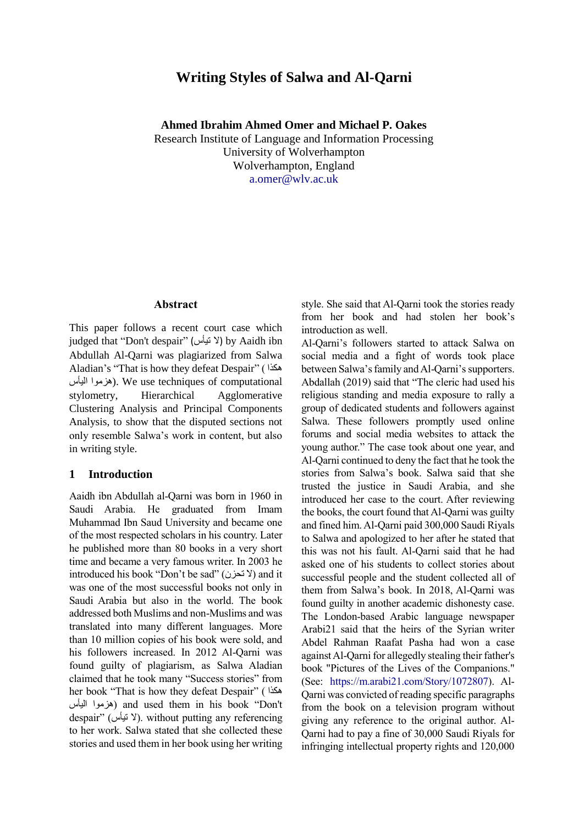# **Writing Styles of Salwa and Al-Qarni**

**Ahmed Ibrahim Ahmed Omer and Michael P. Oakes**

Research Institute of Language and Information Processing University of Wolverhampton Wolverhampton, England a.omer@wlv.ac.uk

#### **Abstract**

This paper follows a recent court case which judged that "Don't despair" (لا تيأس ) by Aaidh ibn Abdullah Al-Qarni was plagiarized from Salwa Aladian's "That is how they defeat Despair" ( هكذا اليأس هزموا(. We use techniques of computational stylometry, Hierarchical Agglomerative Clustering Analysis and Principal Components Analysis, to show that the disputed sections not only resemble Salwa's work in content, but also in writing style.

### **1 Introduction**

Aaidh ibn Abdullah al-Qarni was born in 1960 in Saudi Arabia. He graduated from Imam Muhammad Ibn Saud University and became one of the most respected scholars in his country. Later he published more than 80 books in a very short time and became a very famous writer. In 2003 he introduced his book "Don't be sad" (تحزن) and it was one of the most successful books not only in Saudi Arabia but also in the world. The book addressed both Muslims and non-Muslims and was translated into many different languages. More than 10 million copies of his book were sold, and his followers increased. In 2012 Al-Qarni was found guilty of plagiarism, as Salwa Aladian claimed that he took many "Success stories" from her book "That is how they defeat Despair" ( هكذا اليأس هزموا (and used them in his book "Don't despair" (لا نيأس). without putting any referencing to her work. Salwa stated that she collected these stories and used them in her book using her writing

style. She said that Al-Qarni took the stories ready from her book and had stolen her book's introduction as well.

Al-Qarni's followers started to attack Salwa on social media and a fight of words took place between Salwa's family and Al-Qarni's supporters. Abdallah (2019) said that "The cleric had used his religious standing and media exposure to rally a group of dedicated students and followers against Salwa. These followers promptly used online forums and social media websites to attack the young author." The case took about one year, and Al-Qarni continued to deny the fact that he took the stories from Salwa's book. Salwa said that she trusted the justice in Saudi Arabia, and she introduced her case to the court. After reviewing the books, the court found that Al-Qarni was guilty and fined him. Al-Qarni paid 300,000 Saudi Riyals to Salwa and apologized to her after he stated that this was not his fault. Al-Qarni said that he had asked one of his students to collect stories about successful people and the student collected all of them from Salwa's book. In 2018, Al-Qarni was found guilty in another academic dishonesty case. The London-based Arabic language newspaper Arabi21 said that the heirs of the Syrian writer Abdel Rahman Raafat Pasha had won a case against Al-Qarni for allegedly stealing their father's book "Pictures of the Lives of the Companions." (See: [https://m.arabi21.com/Story/1072807\)](https://m.arabi21.com/Story/1072807). Al-Qarni was convicted of reading specific paragraphs from the book on a television program without giving any reference to the original author. Al-Qarni had to pay a fine of 30,000 Saudi Riyals for infringing intellectual property rights and 120,000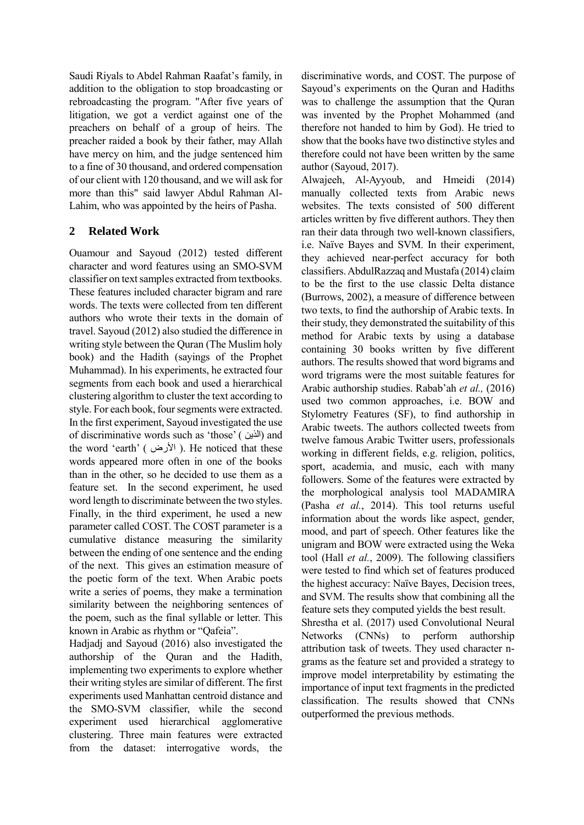Saudi Riyals to Abdel Rahman Raafat's family, in addition to the obligation to stop broadcasting or rebroadcasting the program. "After five years of litigation, we got a verdict against one of the preachers on behalf of a group of heirs. The preacher raided a book by their father, may Allah have mercy on him, and the judge sentenced him to a fine of 30 thousand, and ordered compensation of our client with 120 thousand, and we will ask for more than this" said lawyer Abdul Rahman Al-Lahim, who was appointed by the heirs of Pasha.

# **2 Related Work**

Ouamour and Sayoud (2012) tested different character and word features using an SMO-SVM classifier on text samples extracted from textbooks. These features included character bigram and rare words. The texts were collected from ten different authors who wrote their texts in the domain of travel. Sayoud (2012) also studied the difference in writing style between the Quran (The Muslim holy book) and the Hadith (sayings of the Prophet Muhammad). In his experiments, he extracted four segments from each book and used a hierarchical clustering algorithm to cluster the text according to style. For each book, four segments were extracted. In the first experiment, Sayoud investigated the use of discriminative words such as 'those' ( الذين) and the word 'earth' ( الأرض). He noticed that these words appeared more often in one of the books than in the other, so he decided to use them as a feature set. In the second experiment, he used word length to discriminate between the two styles. Finally, in the third experiment, he used a new parameter called COST. The COST parameter is a cumulative distance measuring the similarity between the ending of one sentence and the ending of the next. This gives an estimation measure of the poetic form of the text. When Arabic poets write a series of poems, they make a termination similarity between the neighboring sentences of the poem, such as the final syllable or letter. This known in Arabic as rhythm or "Qafeia".

Hadjadj and Sayoud (2016) also investigated the authorship of the Quran and the Hadith, implementing two experiments to explore whether their writing styles are similar of different. The first experiments used Manhattan centroid distance and the SMO-SVM classifier, while the second experiment used hierarchical agglomerative clustering. Three main features were extracted from the dataset: interrogative words, the

discriminative words, and COST. The purpose of Sayoud's experiments on the Quran and Hadiths was to challenge the assumption that the Quran was invented by the Prophet Mohammed (and therefore not handed to him by God). He tried to show that the books have two distinctive styles and therefore could not have been written by the same author (Sayoud, 2017).

Alwajeeh, Al-Ayyoub, and Hmeidi (2014) manually collected texts from Arabic news websites. The texts consisted of 500 different articles written by five different authors. They then ran their data through two well-known classifiers, i.e. Naïve Bayes and SVM. In their experiment, they achieved near-perfect accuracy for both classifiers. AbdulRazzaq and Mustafa (2014) claim to be the first to the use classic Delta distance (Burrows, 2002), a measure of difference between two texts, to find the authorship of Arabic texts. In their study, they demonstrated the suitability of this method for Arabic texts by using a database containing 30 books written by five different authors. The results showed that word bigrams and word trigrams were the most suitable features for Arabic authorship studies. Rabab'ah *et al.,* (2016) used two common approaches, i.e. BOW and Stylometry Features (SF), to find authorship in Arabic tweets. The authors collected tweets from twelve famous Arabic Twitter users, professionals working in different fields, e.g. religion, politics, sport, academia, and music, each with many followers. Some of the features were extracted by the morphological analysis tool MADAMIRA (Pasha *et al.*, 2014). This tool returns useful information about the words like aspect, gender, mood, and part of speech. Other features like the unigram and BOW were extracted using the Weka tool (Hall *et al.*, 2009). The following classifiers were tested to find which set of features produced the highest accuracy: Naïve Bayes, Decision trees, and SVM. The results show that combining all the feature sets they computed yields the best result.

Shrestha et al. (2017) used Convolutional Neural Networks (CNNs) to perform authorship attribution task of tweets. They used character ngrams as the feature set and provided a strategy to improve model interpretability by estimating the importance of input text fragments in the predicted classification. The results showed that CNNs outperformed the previous methods.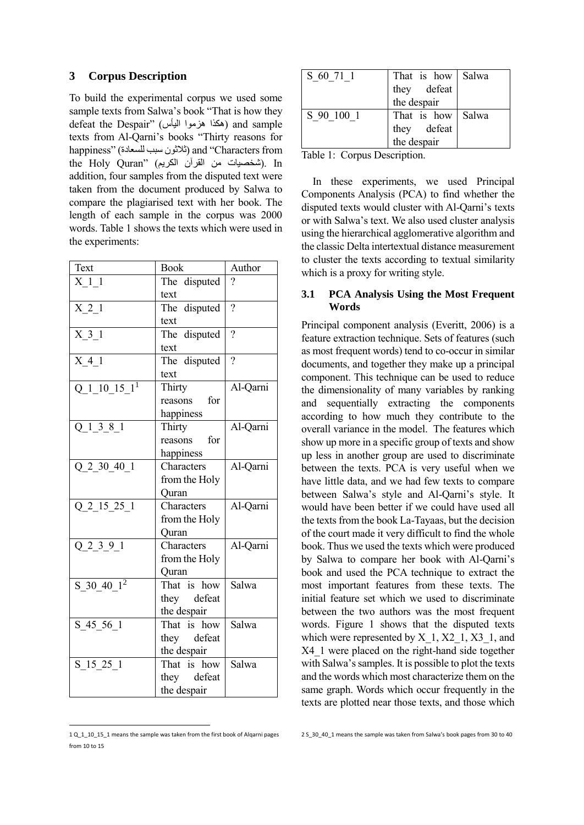## **3 Corpus Description**

To build the experimental corpus we used some sample texts from Salwa's book "That is how they defeat the Despair" (هكذا هزموا اليأس ) and sample texts from Al-Qarni's books "Thirty reasons for happiness" (للسعادة سبب ثالثون (and "Characters from the Holy Quran" (شخصيات من القرآن الكريم). In addition, four samples from the disputed text were taken from the document produced by Salwa to compare the plagiarised text with her book. The length of each sample in the corpus was 2000 words. Table 1 shows the texts which were used in the experiments:

| Text               | <b>Book</b>   | Author         |
|--------------------|---------------|----------------|
| X 1 1              | The disputed  | $\gamma$       |
|                    | text          |                |
| $X_2$ <sup>1</sup> | The disputed  | $\overline{?}$ |
|                    | text          |                |
| $X_3_1$            | The disputed  | $\overline{?}$ |
|                    | text          |                |
| $X_4$ <sup>1</sup> | The disputed  | $\gamma$       |
|                    | text          |                |
| $Q_1$ 10 15 $1^1$  | Thirty        | Al-Qarni       |
|                    | reasons for   |                |
|                    | happiness     |                |
| Q 1 3 8 1          | Thirty        | Al-Qarni       |
|                    | reasons for   |                |
|                    | happiness     |                |
| $Q_2_30_40_1$      | Characters    | Al-Qarni       |
|                    | from the Holy |                |
|                    | Quran         |                |
| $Q_2$ 15 25 1      | Characters    | Al-Qarni       |
|                    | from the Holy |                |
|                    | Ouran         |                |
| $Q_2_3_9_1$        | Characters    | Al-Qarni       |
|                    | from the Holy |                |
|                    | Quran         |                |
| $S_30_40_1^2$      | That is how   | Salwa          |
|                    | they defeat   |                |
|                    | the despair   |                |
| $S_45_56_1$        | That is how   | Salwa          |
|                    | they defeat   |                |
|                    | the despair   |                |
| $S_15_25_1$        | That is how   | Salwa          |
|                    | they defeat   |                |
|                    | the despair   |                |

<sup>1</sup> Q\_1\_10\_15\_1 means the sample was taken from the first book of Alqarni pages from 10 to 15

 $\overline{\phantom{a}}$ 

| S 60 71 1                        | That is how Salwa          |  |
|----------------------------------|----------------------------|--|
|                                  | they defeat<br>the despair |  |
|                                  |                            |  |
| S 90 100 1                       | That is how Salwa          |  |
|                                  | they defeat<br>the despair |  |
|                                  |                            |  |
| <b><del>.</del></b> 11<br>$\sim$ |                            |  |

Table 1: Corpus Description.

In these experiments, we used Principal Components Analysis (PCA) to find whether the disputed texts would cluster with Al-Qarni's texts or with Salwa's text. We also used cluster analysis using the hierarchical agglomerative algorithm and the classic Delta intertextual distance measurement to cluster the texts according to textual similarity which is a proxy for writing style.

### **3.1 PCA Analysis Using the Most Frequent Words**

Principal component analysis (Everitt, 2006) is a feature extraction technique. Sets of features (such as most frequent words) tend to co-occur in similar documents, and together they make up a principal component. This technique can be used to reduce the dimensionality of many variables by ranking and sequentially extracting the components according to how much they contribute to the overall variance in the model. The features which show up more in a specific group of texts and show up less in another group are used to discriminate between the texts. PCA is very useful when we have little data, and we had few texts to compare between Salwa's style and Al-Qarni's style. It would have been better if we could have used all the texts from the book La-Tayaas, but the decision of the court made it very difficult to find the whole book. Thus we used the texts which were produced by Salwa to compare her book with Al-Qarni's book and used the PCA technique to extract the most important features from these texts. The initial feature set which we used to discriminate between the two authors was the most frequent words. Figure 1 shows that the disputed texts which were represented by  $X_1, X2_1, X3_1,$  and X4\_1 were placed on the right-hand side together with Salwa's samples. It is possible to plot the texts and the words which most characterize them on the same graph. Words which occur frequently in the texts are plotted near those texts, and those which

<sup>2</sup> S\_30\_40\_1 means the sample was taken from Salwa's book pages from 30 to 40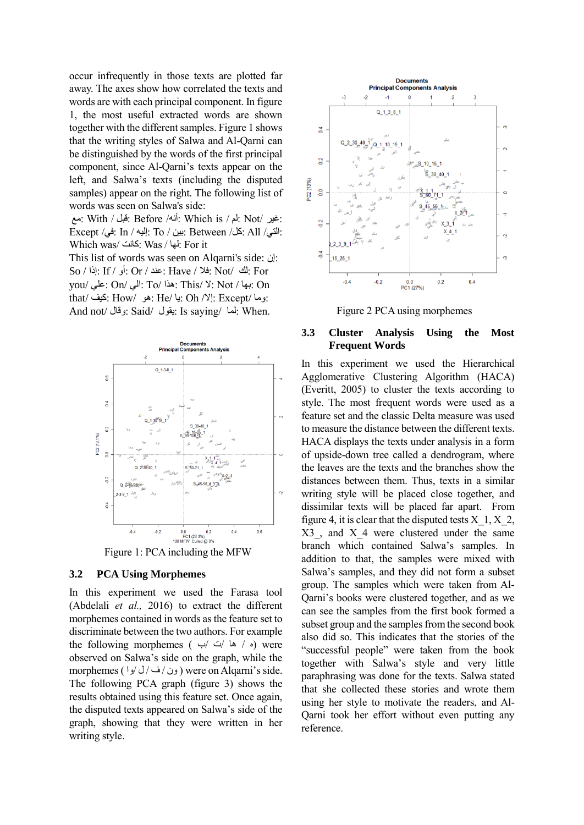occur infrequently in those texts are plotted far away. The axes show how correlated the texts and words are with each principal component. In figure 1, the most useful extracted words are shown together with the different samples. Figure 1 shows that the writing styles of Salwa and Al-Qarni can be distinguished by the words of the first principal component, since Al-Qarni's texts appear on the left, and Salwa's texts (including the disputed samples) appear on the right. The following list of words was seen on Salwa's side:

 :غير /Not :لم / is Which :أنه/ Before :قبل / With :مع :التي/ All :كل/ Between :بين / To :إليه / In :في/ Except Which was/ كانت: Was / لها: For it

This list of words was seen on Alqarni's side: إن: So / إذا: If / أو: Or / عند: Have / فال: Not/ لك: For you/ علي: On/ الي: To/ هذا: This/ ال: Not / بها: On :وما /Except :إال/ Oh :يا /He :هو /How :كيف /that And not/ وقال: Said/ يقول: Is saying/ لما: When.



#### **3.2 PCA Using Morphemes**

In this experiment we used the Farasa tool (Abdelali *et al.,* 2016) to extract the different morphemes contained in words as the feature set to discriminate between the two authors. For example the following morphemes ( $\leftrightarrow \leftrightarrow$  ) were observed on Salwa's side on the graph, while the morphemes ( ون/ ف/ل /وا) were on Alqarni's side. The following PCA graph (figure 3) shows the results obtained using this feature set. Once again, the disputed texts appeared on Salwa's side of the graph, showing that they were written in her writing style.



Figure 2 PCA using morphemes

#### **3.3 Cluster Analysis Using the Most Frequent Words**

In this experiment we used the Hierarchical Agglomerative Clustering Algorithm (HACA) (Everitt, 2005) to cluster the texts according to style. The most frequent words were used as a feature set and the classic Delta measure was used to measure the distance between the different texts. HACA displays the texts under analysis in a form of upside-down tree called a dendrogram, where the leaves are the texts and the branches show the distances between them. Thus, texts in a similar writing style will be placed close together, and dissimilar texts will be placed far apart. From figure 4, it is clear that the disputed tests  $X_1, X_2, X_1, X_2, X_1, X_2, X_1, X_2, X_1, X_2, X_1, X_2, X_1, X_2, X_1, X_2, X_1, X_2, X_1, X_2, X_1, X_2, X_1, X_2, X_1, X_2, X_1, X_2, X_1, X_2, X_1, X_2, X_1, X_2, X_1, X_2, X_1, X_2, X_1, X_2, X_1, X_2, X_1, X_$ X3, and X 4 were clustered under the same branch which contained Salwa's samples. In addition to that, the samples were mixed with Salwa's samples, and they did not form a subset group. The samples which were taken from Al-Qarni's books were clustered together, and as we can see the samples from the first book formed a subset group and the samples from the second book also did so. This indicates that the stories of the "successful people" were taken from the book together with Salwa's style and very little paraphrasing was done for the texts. Salwa stated that she collected these stories and wrote them using her style to motivate the readers, and Al-Qarni took her effort without even putting any reference.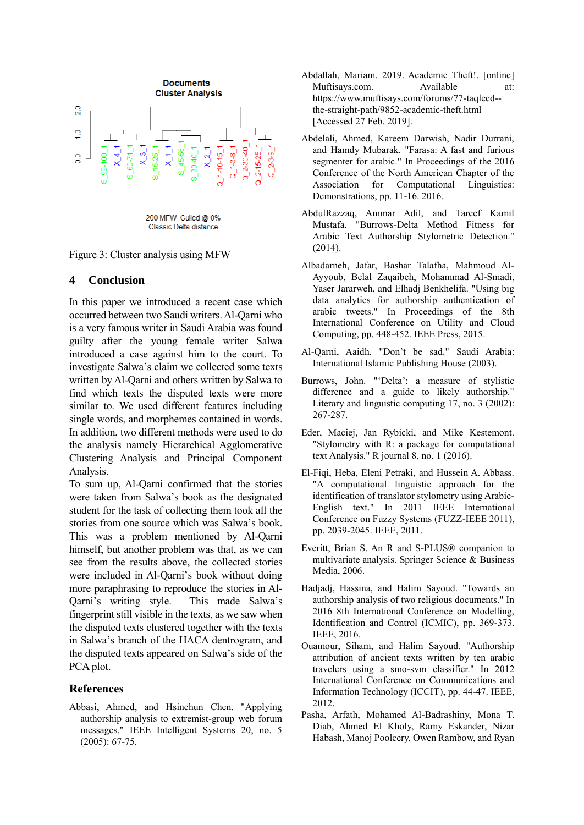

Figure 3: Cluster analysis using MFW

#### **4 Conclusion**

In this paper we introduced a recent case which occurred between two Saudi writers. Al-Qarni who is a very famous writer in Saudi Arabia was found guilty after the young female writer Salwa introduced a case against him to the court. To investigate Salwa's claim we collected some texts written by Al-Qarni and others written by Salwa to find which texts the disputed texts were more similar to. We used different features including single words, and morphemes contained in words. In addition, two different methods were used to do the analysis namely Hierarchical Agglomerative Clustering Analysis and Principal Component Analysis.

To sum up, Al-Qarni confirmed that the stories were taken from Salwa's book as the designated student for the task of collecting them took all the stories from one source which was Salwa's book. This was a problem mentioned by Al-Qarni himself, but another problem was that, as we can see from the results above, the collected stories were included in Al-Qarni's book without doing more paraphrasing to reproduce the stories in Al-Qarni's writing style. This made Salwa's fingerprint still visible in the texts, as we saw when the disputed texts clustered together with the texts in Salwa's branch of the HACA dentrogram, and the disputed texts appeared on Salwa's side of the PCA plot.

#### **References**

Abbasi, Ahmed, and Hsinchun Chen. "Applying authorship analysis to extremist-group web forum messages." IEEE Intelligent Systems 20, no. 5 (2005): 67-75.

- Abdallah, Mariam. 2019. Academic Theft!. [online] Muftisays.com. Available at: https://www.muftisays.com/forums/77-taqleed- the-straight-path/9852-academic-theft.html [Accessed 27 Feb. 2019].
- Abdelali, Ahmed, Kareem Darwish, Nadir Durrani, and Hamdy Mubarak. "Farasa: A fast and furious segmenter for arabic." In Proceedings of the 2016 Conference of the North American Chapter of the Association for Computational Linguistics: Demonstrations, pp. 11-16. 2016.
- AbdulRazzaq, Ammar Adil, and Tareef Kamil Mustafa. "Burrows-Delta Method Fitness for Arabic Text Authorship Stylometric Detection." (2014).
- Albadarneh, Jafar, Bashar Talafha, Mahmoud Al-Ayyoub, Belal Zaqaibeh, Mohammad Al-Smadi, Yaser Jararweh, and Elhadj Benkhelifa. "Using big data analytics for authorship authentication of arabic tweets." In Proceedings of the 8th International Conference on Utility and Cloud Computing, pp. 448-452. IEEE Press, 2015.
- Al-Qarni, Aaidh. "Don't be sad." Saudi Arabia: International Islamic Publishing House (2003).
- Burrows, John. "'Delta': a measure of stylistic difference and a guide to likely authorship." Literary and linguistic computing 17, no. 3 (2002): 267-287.
- Eder, Maciej, Jan Rybicki, and Mike Kestemont. "Stylometry with R: a package for computational text Analysis." R journal 8, no. 1 (2016).
- El-Fiqi, Heba, Eleni Petraki, and Hussein A. Abbass. "A computational linguistic approach for the identification of translator stylometry using Arabic-English text." In 2011 IEEE International Conference on Fuzzy Systems (FUZZ-IEEE 2011), pp. 2039-2045. IEEE, 2011.
- Everitt, Brian S. An R and S-PLUS® companion to multivariate analysis. Springer Science & Business Media, 2006.
- Hadjadj, Hassina, and Halim Sayoud. "Towards an authorship analysis of two religious documents." In 2016 8th International Conference on Modelling, Identification and Control (ICMIC), pp. 369-373. IEEE, 2016.
- Ouamour, Siham, and Halim Sayoud. "Authorship attribution of ancient texts written by ten arabic travelers using a smo-svm classifier." In 2012 International Conference on Communications and Information Technology (ICCIT), pp. 44-47. IEEE, 2012.
- Pasha, Arfath, Mohamed Al-Badrashiny, Mona T. Diab, Ahmed El Kholy, Ramy Eskander, Nizar Habash, Manoj Pooleery, Owen Rambow, and Ryan